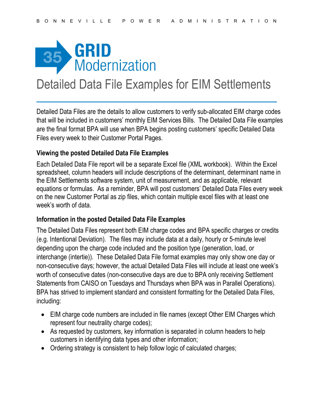

## Detailed Data File Examples for EIM Settlements

Detailed Data Files are the details to allow customers to verify sub-allocated EIM charge codes that will be included in customers' monthly EIM Services Bills. The Detailed Data File examples are the final format BPA will use when BPA begins posting customers' specific Detailed Data Files every week to their Customer Portal Pages.

## Viewing the posted Detailed Data File Examples

Each Detailed Data File report will be a separate Excel file (XML workbook). Within the Excel spreadsheet, column headers will include descriptions of the determinant, determinant name in the EIM Settlements software system, unit of measurement, and as applicable, relevant equations or formulas. As a reminder, BPA will post customers' Detailed Data Files every week on the new Customer Portal as zip files, which contain multiple excel files with at least one week's worth of data.

## Information in the posted Detailed Data File Examples

The Detailed Data Files represent both EIM charge codes and BPA specific charges or credits (e.g. Intentional Deviation). The files may include data at a daily, hourly or 5-minute level depending upon the charge code included and the position type (generation, load, or interchange (intertie)). These Detailed Data File format examples may only show one day or non-consecutive days; however, the actual Detailed Data Files will include at least one week's worth of consecutive dates (non-consecutive days are due to BPA only receiving Settlement Statements from CAISO on Tuesdays and Thursdays when BPA was in Parallel Operations). BPA has strived to implement standard and consistent formatting for the Detailed Data Files, including:

- EIM charge code numbers are included in file names (except Other EIM Charges which represent four neutrality charge codes);
- As requested by customers, key information is separated in column headers to help customers in identifying data types and other information;
- Ordering strategy is consistent to help follow logic of calculated charges;